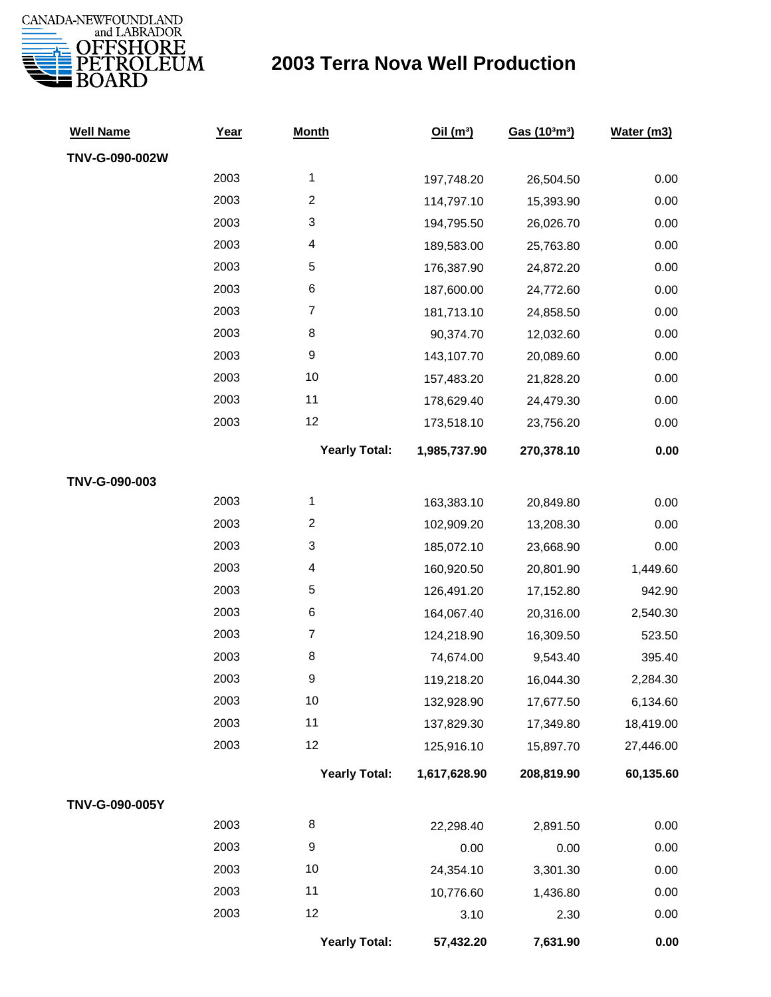

## **2003 Terra Nova Well Production**

| <b>Well Name</b> | Year | <b>Month</b>         | Oil $(m^3)$  | Gas (103m3) | Water (m3) |
|------------------|------|----------------------|--------------|-------------|------------|
| TNV-G-090-002W   |      |                      |              |             |            |
|                  | 2003 | 1                    | 197,748.20   | 26,504.50   | 0.00       |
|                  | 2003 | $\overline{c}$       | 114,797.10   | 15,393.90   | 0.00       |
|                  | 2003 | 3                    | 194,795.50   | 26,026.70   | 0.00       |
|                  | 2003 | 4                    | 189,583.00   | 25,763.80   | 0.00       |
|                  | 2003 | 5                    | 176,387.90   | 24,872.20   | 0.00       |
|                  | 2003 | 6                    | 187,600.00   | 24,772.60   | 0.00       |
|                  | 2003 | $\overline{7}$       | 181,713.10   | 24,858.50   | 0.00       |
|                  | 2003 | 8                    | 90,374.70    | 12,032.60   | 0.00       |
|                  | 2003 | 9                    | 143,107.70   | 20,089.60   | 0.00       |
|                  | 2003 | 10                   | 157,483.20   | 21,828.20   | 0.00       |
|                  | 2003 | 11                   | 178,629.40   | 24,479.30   | 0.00       |
|                  | 2003 | 12                   | 173,518.10   | 23,756.20   | 0.00       |
|                  |      | <b>Yearly Total:</b> | 1,985,737.90 | 270,378.10  | 0.00       |
| TNV-G-090-003    |      |                      |              |             |            |
|                  | 2003 | $\mathbf{1}$         | 163,383.10   | 20,849.80   | 0.00       |
|                  | 2003 | $\overline{c}$       | 102,909.20   | 13,208.30   | 0.00       |
|                  | 2003 | 3                    | 185,072.10   | 23,668.90   | 0.00       |
|                  | 2003 | 4                    | 160,920.50   | 20,801.90   | 1,449.60   |
|                  | 2003 | 5                    | 126,491.20   | 17,152.80   | 942.90     |
|                  | 2003 | 6                    | 164,067.40   | 20,316.00   | 2,540.30   |
|                  | 2003 | $\boldsymbol{7}$     | 124,218.90   | 16,309.50   | 523.50     |
|                  | 2003 | 8                    | 74,674.00    | 9,543.40    | 395.40     |
|                  | 2003 | 9                    | 119,218.20   | 16,044.30   | 2,284.30   |
|                  | 2003 | 10                   | 132,928.90   | 17,677.50   | 6,134.60   |
|                  | 2003 | 11                   | 137,829.30   | 17,349.80   | 18,419.00  |
|                  | 2003 | 12                   | 125,916.10   | 15,897.70   | 27,446.00  |
|                  |      | <b>Yearly Total:</b> | 1,617,628.90 | 208,819.90  | 60,135.60  |
| TNV-G-090-005Y   |      |                      |              |             |            |
|                  | 2003 | 8                    | 22,298.40    | 2,891.50    | 0.00       |
|                  | 2003 | 9                    | 0.00         | 0.00        | 0.00       |
|                  | 2003 | 10                   | 24,354.10    | 3,301.30    | 0.00       |
|                  | 2003 | 11                   | 10,776.60    | 1,436.80    | 0.00       |
|                  | 2003 | 12                   | 3.10         | 2.30        | 0.00       |
|                  |      | <b>Yearly Total:</b> | 57,432.20    | 7,631.90    | 0.00       |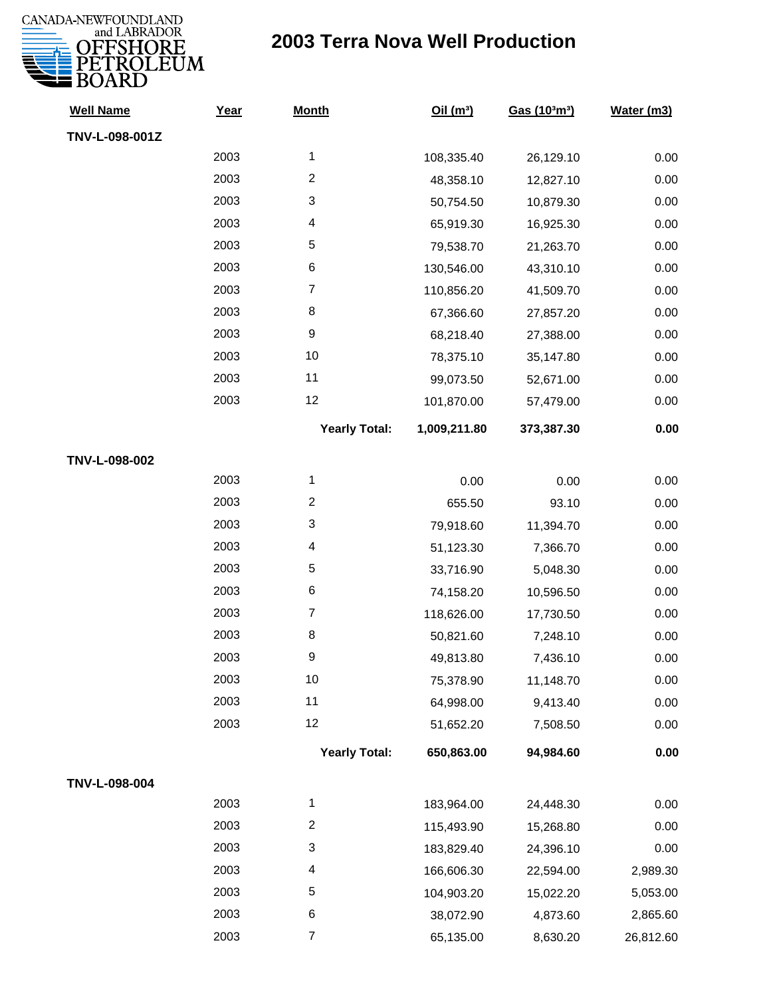

## **2003 Terra Nova Well Production**

| <b>Well Name</b> | Year | <b>Month</b>             | Oil(m <sup>3</sup> ) | Gas (103m3) | Water (m3) |
|------------------|------|--------------------------|----------------------|-------------|------------|
| TNV-L-098-001Z   |      |                          |                      |             |            |
|                  | 2003 | $\mathbf{1}$             | 108,335.40           | 26,129.10   | 0.00       |
|                  | 2003 | $\boldsymbol{2}$         | 48,358.10            | 12,827.10   | 0.00       |
|                  | 2003 | 3                        | 50,754.50            | 10,879.30   | 0.00       |
|                  | 2003 | 4                        | 65,919.30            | 16,925.30   | 0.00       |
|                  | 2003 | $\mathbf 5$              | 79,538.70            | 21,263.70   | 0.00       |
|                  | 2003 | 6                        | 130,546.00           | 43,310.10   | 0.00       |
|                  | 2003 | $\boldsymbol{7}$         | 110,856.20           | 41,509.70   | 0.00       |
|                  | 2003 | 8                        | 67,366.60            | 27,857.20   | 0.00       |
|                  | 2003 | $\boldsymbol{9}$         | 68,218.40            | 27,388.00   | 0.00       |
|                  | 2003 | 10                       | 78,375.10            | 35,147.80   | 0.00       |
|                  | 2003 | 11                       | 99,073.50            | 52,671.00   | 0.00       |
|                  | 2003 | 12                       | 101,870.00           | 57,479.00   | 0.00       |
|                  |      | <b>Yearly Total:</b>     | 1,009,211.80         | 373,387.30  | 0.00       |
| TNV-L-098-002    |      |                          |                      |             |            |
|                  | 2003 | $\mathbf 1$              | 0.00                 | 0.00        | 0.00       |
|                  | 2003 | $\boldsymbol{2}$         | 655.50               | 93.10       | 0.00       |
|                  | 2003 | 3                        | 79,918.60            | 11,394.70   | 0.00       |
|                  | 2003 | 4                        | 51,123.30            | 7,366.70    | 0.00       |
|                  | 2003 | 5                        | 33,716.90            | 5,048.30    | 0.00       |
|                  | 2003 | 6                        | 74,158.20            | 10,596.50   | 0.00       |
|                  | 2003 | $\boldsymbol{7}$         | 118,626.00           | 17,730.50   | 0.00       |
|                  | 2003 | 8                        | 50,821.60            | 7,248.10    | 0.00       |
|                  | 2003 | 9                        | 49,813.80            | 7,436.10    | 0.00       |
|                  | 2003 | 10                       | 75,378.90            | 11,148.70   | 0.00       |
|                  | 2003 | 11                       | 64,998.00            | 9,413.40    | 0.00       |
|                  | 2003 | 12                       | 51,652.20            | 7,508.50    | 0.00       |
|                  |      | <b>Yearly Total:</b>     | 650,863.00           | 94,984.60   | 0.00       |
| TNV-L-098-004    |      |                          |                      |             |            |
|                  | 2003 | $\mathbf{1}$             | 183,964.00           | 24,448.30   | 0.00       |
|                  | 2003 | $\boldsymbol{2}$         | 115,493.90           | 15,268.80   | 0.00       |
|                  | 2003 | 3                        | 183,829.40           | 24,396.10   | 0.00       |
|                  | 2003 | $\overline{\mathcal{A}}$ | 166,606.30           | 22,594.00   | 2,989.30   |
|                  | 2003 | 5                        | 104,903.20           | 15,022.20   | 5,053.00   |
|                  | 2003 | 6                        | 38,072.90            | 4,873.60    | 2,865.60   |
|                  | 2003 | $\boldsymbol{7}$         | 65,135.00            | 8,630.20    | 26,812.60  |